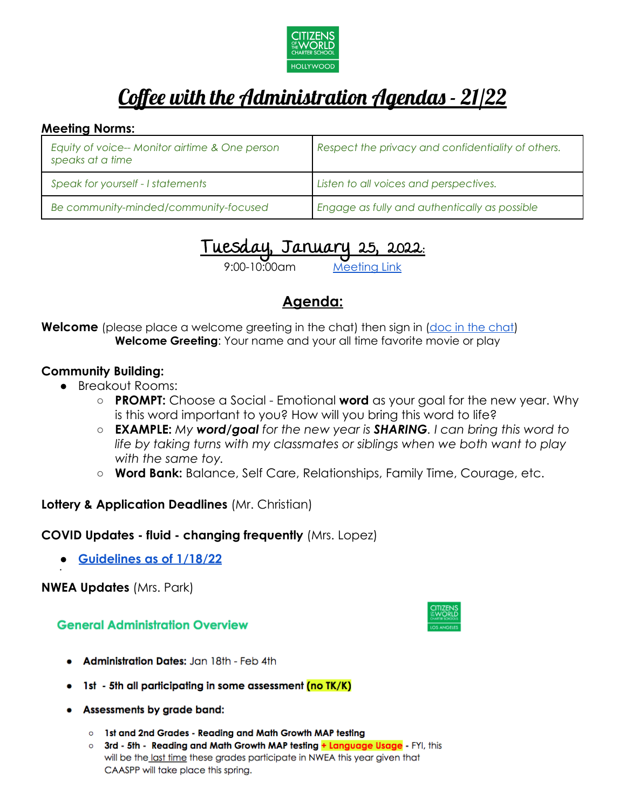

# Coffee with the Administration Agendas - 21/22

#### **Meeting Norms:**

| Equity of voice-- Monitor airtime & One person<br>speaks at a time | Respect the privacy and confidentiality of others. |
|--------------------------------------------------------------------|----------------------------------------------------|
| Speak for yourself - I statements                                  | Listen to all voices and perspectives.             |
| Be community-minded/community-focused                              | Engage as fully and authentically as possible      |

# Tuesday, January 25, 2022:

 $10:00$ am

## **Agenda:**

**Welcome** (please place a welcome greeting in the [chat\)](https://docs.google.com/document/d/1G5tV5v-j_RlyyIZYK21waQZqKIUWcZa1HKFSlpv2kPY/edit?usp=sharing) then sign in (doc in the chat) **Welcome Greeting**: Your name and your all time favorite movie or play

## **Community Building:**

- Breakout Rooms:
	- **PROMPT:** Choose a Social Emotional **word** as your goal for the new year. Why is this word important to you? How will you bring this word to life?
	- **EXAMPLE:** *My word/goal for the new year is SHARING. I can bring this word to life by taking turns with my classmates or siblings when we both want to play with the same toy.*
	- **Word Bank:** Balance, Self Care, Relationships, Family Time, Courage, etc.

## **Lottery & Application Deadlines** (Mr. Christian)

## **COVID Updates - fluid - changing frequently** (Mrs. Lopez)

● **[Guidelines as of 1/18/22](https://docs.google.com/document/d/1PRFwKMvrvIJCj4oRC0vtYxpQWhoEXBol9m3f-0WlUbE/edit?usp=sharing)**

**NWEA Updates** (Mrs. Park)

**●**

## **General Administration Overview**

- **Administration Dates: Jan 18th Feb 4th**
- 1st 5th all participating in some assessment <mark>(no TK/K)</mark>
- Assessments by grade band:
	- o 1st and 2nd Grades Reading and Math Growth MAP testing
	- o 3rd 5th Reading and Math Growth MAP testing + Language Usage FYI, this will be the last time these grades participate in NWEA this year given that CAASPP will take place this spring.

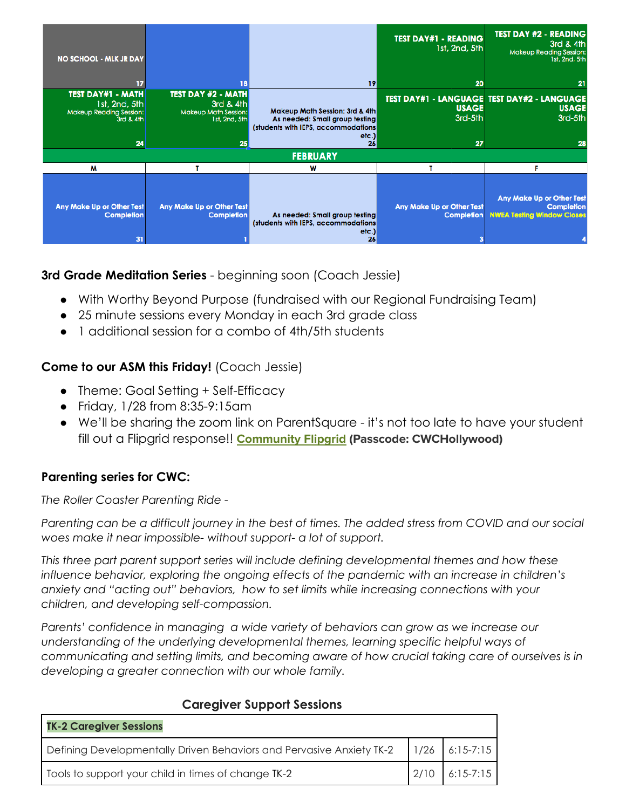| <b>NO SCHOOL - MLK JR DAY</b>                                                           |                                                                                              |                                                                                                                        | <b>TEST DAY#1 - READING</b><br>1st, 2nd, 5th   | <b>TEST DAY #2 - READING</b><br>3rd & 4th<br><b>Makeup Reading Session:</b><br>1st, 2nd, 5th |
|-----------------------------------------------------------------------------------------|----------------------------------------------------------------------------------------------|------------------------------------------------------------------------------------------------------------------------|------------------------------------------------|----------------------------------------------------------------------------------------------|
| 17                                                                                      |                                                                                              | 19                                                                                                                     | 20                                             | 21                                                                                           |
| <b>TEST DAY#1 - MATH</b><br>1st, 2nd, 5th<br>Makeup Reading Session:<br>3rd & 4th<br>24 | <b>TEST DAY #2 - MATH</b><br>3rd & 4th<br><b>Makeup Math Session:</b><br>1st, 2nd, 5th<br>25 | Makeup Math Session: 3rd & 4th<br>As needed: Small group testing<br>(students with IEPS, accommodations)<br>etc.<br>26 | <b>USAGE</b><br>3rd-5th<br>27                  | <b>TEST DAY#1 - LANGUAGE TEST DAY#2 - LANGUAGE</b><br><b>USAGE</b><br>3rd-5th<br>28          |
|                                                                                         |                                                                                              | <b>FEBRUARY</b>                                                                                                        |                                                |                                                                                              |
| M                                                                                       |                                                                                              | W                                                                                                                      |                                                | г                                                                                            |
| <b>Any Make Up or Other Test</b><br><b>Completion</b><br>31                             | <b>Any Make Up or Other Test</b><br><b>Completion</b>                                        | As needed: Small group testing<br>(students with IEPS, accommodations)<br>etc.)<br>26                                  | Any Make Up or Other Test<br><b>Completion</b> | Any Make Up or Other Test<br><b>Completion</b><br><b>NWEA Testing Window Closes</b>          |

## **3rd Grade Meditation Series** - beginning soon (Coach Jessie)

- With Worthy Beyond Purpose (fundraised with our Regional Fundraising Team)
- 25 minute sessions every Monday in each 3rd grade class
- 1 additional session for a combo of 4th/5th students

## **Come to our ASM this Friday!** (Coach Jessie)

- Theme: Goal Setting + Self-Efficacy
- Friday, 1/28 from 8:35-9:15am
- We'll be sharing the zoom link on ParentSquare it's not too late to have your student fill out a Flipgrid response!! **[Community](https://flipgrid.com/04ffce9e) Flipgrid (Passcode: CWCHollywood)**

## **Parenting series for CWC:**

*The Roller Coaster Parenting Ride -*

Parenting can be a difficult journey in the best of times. The added stress from COVID and our social *woes make it near impossible- without support- a lot of support.*

*This three part parent support series will include defining developmental themes and how these influence behavior, exploring the ongoing effects of the pandemic with an increase in children's anxiety and "acting out" behaviors, how to set limits while increasing connections with your children, and developing self-compassion.*

*Parents' confidence in managing a wide variety of behaviors can grow as we increase our understanding of the underlying developmental themes, learning specific helpful ways of communicating and setting limits, and becoming aware of how crucial taking care of ourselves is in developing a greater connection with our whole family.*

| <b>TK-2 Caregiver Sessions</b>                                       |                  |
|----------------------------------------------------------------------|------------------|
| Defining Developmentally Driven Behaviors and Pervasive Anxiety TK-2 | $1/26$ 6:15-7:15 |
| Tools to support your child in times of change TK-2                  | $6:15-7:15$      |

## **Caregiver Support Sessions**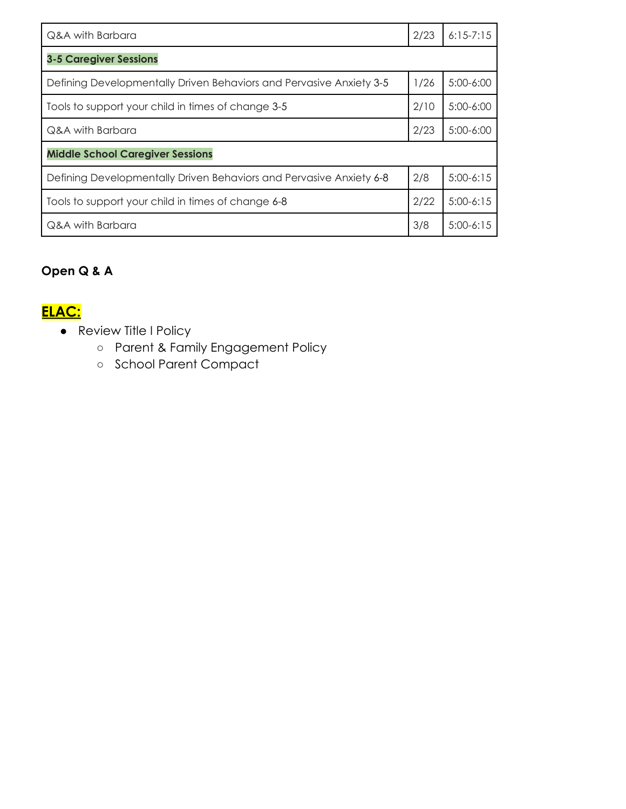| Q&A with Barbara                                                    | 2/23 | $6:15 - 7:15$ |  |
|---------------------------------------------------------------------|------|---------------|--|
| <b>3-5 Caregiver Sessions</b>                                       |      |               |  |
| Defining Developmentally Driven Behaviors and Pervasive Anxiety 3-5 | 1/26 | $5:00-6:00$   |  |
| Tools to support your child in times of change 3-5                  | 2/10 | $5:00-6:00$   |  |
| Q&A with Barbara                                                    | 2/23 | $5:00-6:00$   |  |
| <b>Middle School Caregiver Sessions</b>                             |      |               |  |
| Defining Developmentally Driven Behaviors and Pervasive Anxiety 6-8 | 2/8  | $5:00-6:15$   |  |
| Tools to support your child in times of change 6-8                  | 2/22 | $5:00-6:15$   |  |
| Q&A with Barbara                                                    | 3/8  | $5:00-6:15$   |  |

## **Open Q & A**

## **ELAC:**

- Review Title I Policy
	- Parent & Family Engagement Policy
	- School Parent Compact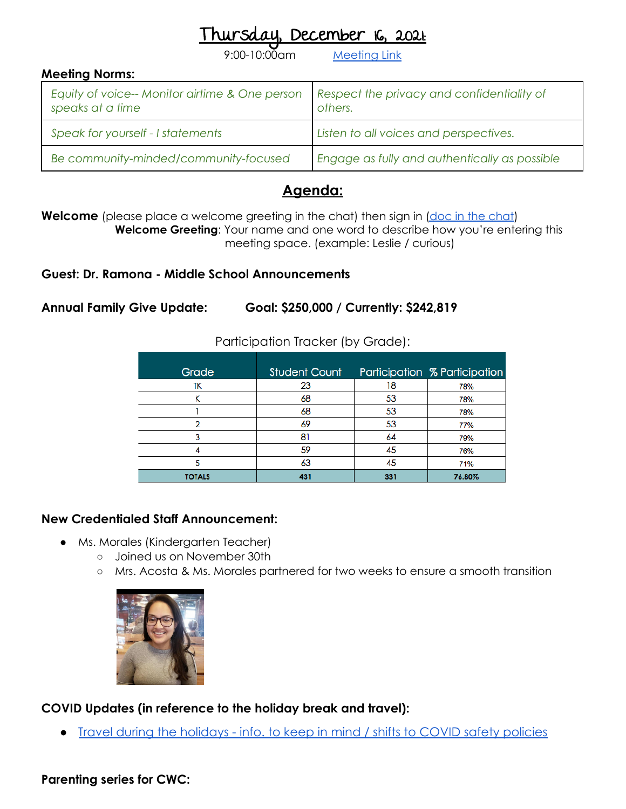## December 16, 2021:

9:00-10:00am [Meeting](https://us06web.zoom.us/j/9978570009?pwd=aHNtcFhES1puSmNtVlFwL3dQUjBiUT09) Link

| <b>Meeting Norms:</b>                                              |                                                       |
|--------------------------------------------------------------------|-------------------------------------------------------|
| Equity of voice-- Monitor airtime & One person<br>speaks at a time | Respect the privacy and confidentiality of<br>others. |
| Speak for yourself - I statements                                  | Listen to all voices and perspectives.                |
| Be community-minded/community-focused                              | Engage as fully and authentically as possible         |

## **Agenda:**

**Welcome** (please place a welcome greeting in the [chat\)](https://docs.google.com/document/d/1G5tV5v-j_RlyyIZYK21waQZqKIUWcZa1HKFSlpv2kPY/edit?usp=sharing) then sign in (doc in the chat) **Welcome Greeting**: Your name and one word to describe how you're entering this meeting space. (example: Leslie / curious)

**Guest: Dr. Ramona - Middle School Announcements**

**Annual Family Give Update: Goal: \$250,000 / Currently: \$242,819**

| Grade  | <b>Student Count</b> |     | Participation % Participation |
|--------|----------------------|-----|-------------------------------|
| TΚ     | 23                   | 18  | 78%                           |
| ĸ      | 68                   | 53  | 78%                           |
|        | 68                   | 53  | 78%                           |
| っ      | 69                   | 53  | 77%                           |
| 3      | 81                   | 64  | 79%                           |
|        | 59                   | 45  | 76%                           |
| 5      | 63                   | 45  | 71%                           |
| TOTALS | 431                  | 331 | 76.80%                        |

Participation Tracker (by Grade):

## **New Credentialed Staff Announcement:**

- Ms. Morales (Kindergarten Teacher)
	- Joined us on November 30th
	- Mrs. Acosta & Ms. Morales partnered for two weeks to ensure a smooth transition



**COVID Updates (in reference to the holiday break and travel):**

● [Travel during the holidays - info. to keep in mind / shifts to COVID safety policies](https://docs.google.com/document/d/1bkAeNVHrRz1WU6OwMS-TlbM2r55eqQreS005ehv22SQ/edit?usp=sharing)

## **Parenting series for CWC:**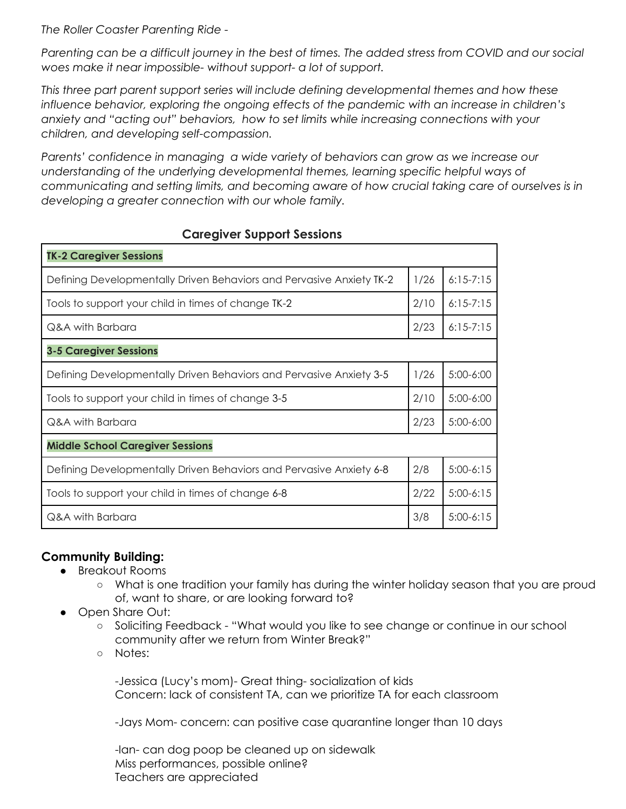*The Roller Coaster Parenting Ride -*

Parenting can be a difficult journey in the best of times. The added stress from COVID and our social *woes make it near impossible- without support- a lot of support.*

*This three part parent support series will include defining developmental themes and how these influence behavior, exploring the ongoing effects of the pandemic with an increase in children's anxiety and "acting out" behaviors, how to set limits while increasing connections with your children, and developing self-compassion.*

*Parents' confidence in managing a wide variety of behaviors can grow as we increase our understanding of the underlying developmental themes, learning specific helpful ways of communicating and setting limits, and becoming aware of how crucial taking care of ourselves is in developing a greater connection with our whole family.*

| <b>TK-2 Caregiver Sessions</b>                                       |      |               |
|----------------------------------------------------------------------|------|---------------|
| Defining Developmentally Driven Behaviors and Pervasive Anxiety TK-2 | 1/26 | $6:15 - 7:15$ |
| Tools to support your child in times of change TK-2                  | 2/10 | $6:15-7:15$   |
| Q&A with Barbara                                                     | 2/23 | $6:15-7:15$   |
| <b>3-5 Caregiver Sessions</b>                                        |      |               |
| Defining Developmentally Driven Behaviors and Pervasive Anxiety 3-5  | 1/26 | $5:00-6:00$   |
| Tools to support your child in times of change 3-5                   | 2/10 | $5:00-6:00$   |
| Q&A with Barbara                                                     | 2/23 | $5:00-6:00$   |
| <b>Middle School Caregiver Sessions</b>                              |      |               |
| Defining Developmentally Driven Behaviors and Pervasive Anxiety 6-8  | 2/8  | $5:00-6:15$   |
| Tools to support your child in times of change 6-8                   | 2/22 | $5:00-6:15$   |
| Q&A with Barbara                                                     | 3/8  | $5:00-6:15$   |

#### **Caregiver Support Sessions**

## **Community Building:**

- Breakout Rooms
	- What is one tradition your family has during the winter holiday season that you are proud of, want to share, or are looking forward to?
- Open Share Out:
	- Soliciting Feedback "What would you like to see change or continue in our school community after we return from Winter Break?"
	- Notes:

-Jessica (Lucy's mom)- Great thing- socialization of kids Concern: lack of consistent TA, can we prioritize TA for each classroom

-Jays Mom- concern: can positive case quarantine longer than 10 days

-Ian- can dog poop be cleaned up on sidewalk Miss performances, possible online? Teachers are appreciated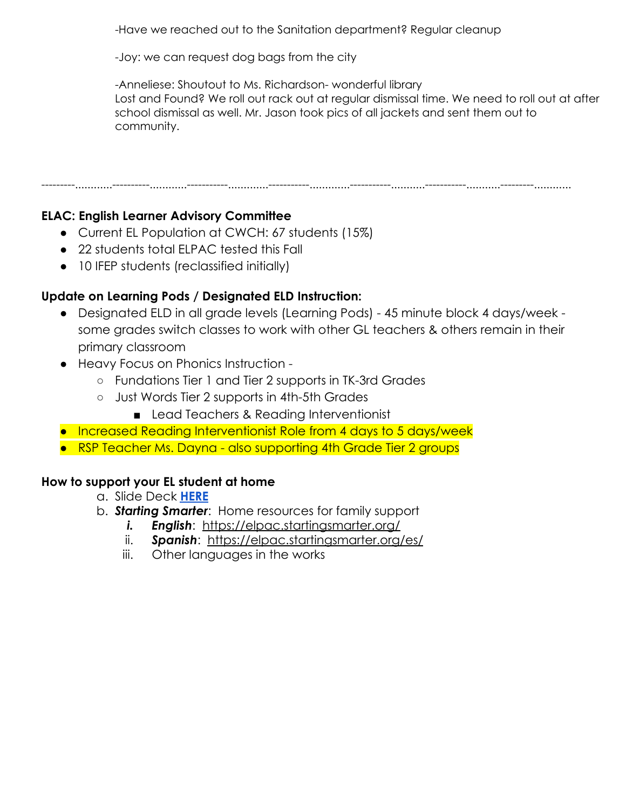-Have we reached out to the Sanitation department? Regular cleanup

-Joy: we can request dog bags from the city

-Anneliese: Shoutout to Ms. Richardson- wonderful library Lost and Found? We roll out rack out at regular dismissal time. We need to roll out at after school dismissal as well. Mr. Jason took pics of all jackets and sent them out to community.

---------............----------............-----------.............-----------.............-----------...........-----------...........---------............

## **ELAC: English Learner Advisory Committee**

- Current EL Population at CWCH: 67 students (15%)
- 22 students total ELPAC tested this Fall
- 10 IFEP students (reclassified initially)

## **Update on Learning Pods / Designated ELD Instruction:**

- Designated ELD in all grade levels (Learning Pods) 45 minute block 4 days/week some grades switch classes to work with other GL teachers & others remain in their primary classroom
- Heavy Focus on Phonics Instruction
	- Fundations Tier 1 and Tier 2 supports in TK-3rd Grades
	- Just Words Tier 2 supports in 4th-5th Grades
		- Lead Teachers & Reading Interventionist
- Increased Reading Interventionist Role from 4 days to 5 days/week
- RSP Teacher Ms. Dayna also supporting 4th Grade Tier 2 groups

## **How to support your EL student at home**

- a. Slide Deck **[HERE](https://docs.google.com/presentation/d/1c6AJnYCqic_C5w5nV8xWX9y7rrH-6oUxhqQaECMN8dQ/edit?usp=sharing)**
- b. *Starting Smarter*: Home resources for family support
	- *i. English*: <https://elpac.startingsmarter.org/>
	- ii. *Spanish*: <https://elpac.startingsmarter.org/es/>
	- iii. Other languages in the works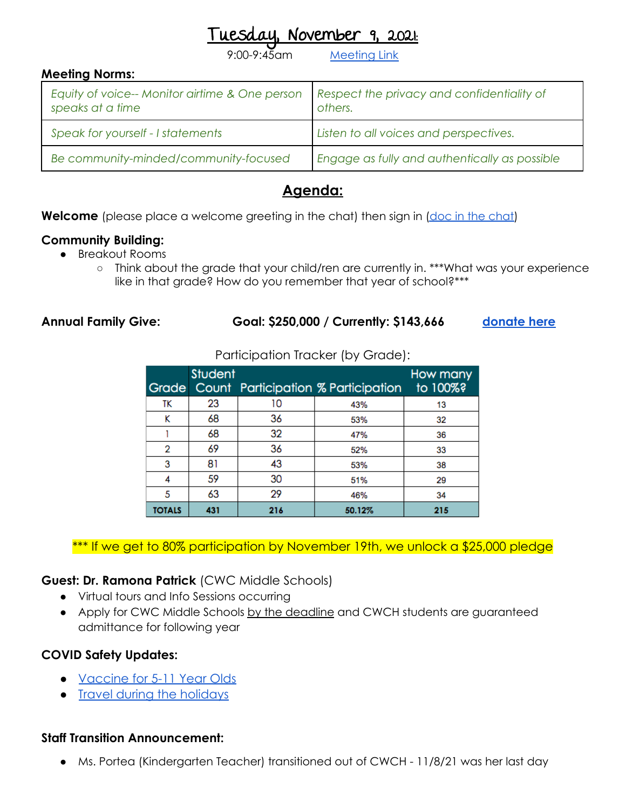November 9, 2021:

[Meeting](https://us06web.zoom.us/j/9978570009?pwd=aHNtcFhES1puSmNtVlFwL3dQUjBiUT09) Link

| <b>Meeting Norms:</b>                                              |                                                       |
|--------------------------------------------------------------------|-------------------------------------------------------|
| Equity of voice-- Monitor airtime & One person<br>speaks at a time | Respect the privacy and confidentiality of<br>others. |
| Speak for yourself - I statements                                  | Listen to all voices and perspectives.                |
| Be community-minded/community-focused                              | Engage as fully and authentically as possible         |

## **Agenda:**

**Welcome** (please place a welcome greeting in the [chat\)](https://docs.google.com/document/d/1G5tV5v-j_RlyyIZYK21waQZqKIUWcZa1HKFSlpv2kPY/edit?usp=sharing) then sign in (doc in the chat)

## **Community Building:**

- Breakout Rooms
	- Think about the grade that your child/ren are currently in. \*\*\*What was your experience like in that grade? How do you remember that year of school?\*\*\*

#### **Annual Family Give: Goal: \$250,000 / Currently: \$143,666 [donate here](https://cwcsupport.rallybound.org/CWCHAFG)**

Participation Tracker (by Grade):

| Grade         | <b>Student</b> |     | Count Participation % Participation | How many<br>to 100%? |
|---------------|----------------|-----|-------------------------------------|----------------------|
| TΚ            | 23             | 10  | 43%                                 | 13                   |
| κ             | 68             | 36  | 53%                                 | 32                   |
|               | 68             | 32  | 47%                                 | 36                   |
| 2             | 69             | 36  | 52%                                 | 33                   |
| 3             | 81             | 43  | 53%                                 | 38                   |
| 4             | 59             | 30  | 51%                                 | 29                   |
| 5             | 63             | 29  | 46%                                 | 34                   |
| <b>TOTALS</b> | 431            | 216 | 50.12%                              | 215                  |

## \*\*\* If we get to 80% participation by November 19th, we unlock a \$25,000 pledge

## **Guest: Dr. Ramona Patrick** (CWC Middle Schools)

- Virtual tours and Info Sessions occurring
- Apply for CWC Middle Schools by the deadline and CWCH students are guaranteed admittance for following year

## **COVID Safety Updates:**

- [Vaccine for 5-11 Year Olds](https://docs.google.com/document/d/1jE2iG5ip5Pi4gPwAMJW_jF0Donh6NHAfi8vD5bcIsVQ/edit?usp=sharing)
- [Travel during the holidays](https://docs.google.com/document/d/10A_n830xzY2zbTJA4tupQDArWtE3-uU8fp0sSigZTaI/edit?usp=sharing)

## **Staff Transition Announcement:**

● Ms. Portea (Kindergarten Teacher) transitioned out of CWCH - 11/8/21 was her last day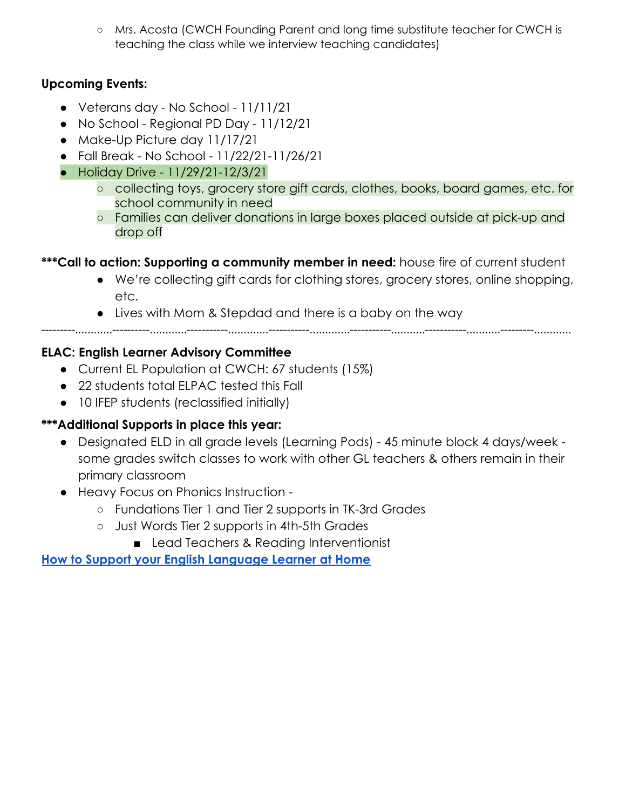○ Mrs. Acosta (CWCH Founding Parent and long time substitute teacher for CWCH is teaching the class while we interview teaching candidates)

## **Upcoming Events:**

- Veterans day No School 11/11/21
- No School Regional PD Day 11/12/21
- Make-Up Picture day 11/17/21
- **●** Fall Break No School 11/22/21-11/26/21
- Holiday Drive 11/29/21-12/3/21
	- collecting toys, grocery store gift cards, clothes, books, board games, etc. for school community in need
	- Families can deliver donations in large boxes placed outside at pick-up and drop off

## **\*\*\*Call to action: Supporting a community member in need:** house fire of current student

- We're collecting gift cards for clothing stores, grocery stores, online shopping, etc.
- Lives with Mom & Stepdad and there is a baby on the way

---------............----------............-----------.............-----------.............-----------...........-----------...........---------............

## **ELAC: English Learner Advisory Committee**

- Current EL Population at CWCH: 67 students (15%)
- 22 students total ELPAC tested this Fall
- 10 IFEP students (reclassified initially)

## **\*\*\*Additional Supports in place this year:**

- Designated ELD in all grade levels (Learning Pods) 45 minute block 4 days/week some grades switch classes to work with other GL teachers & others remain in their primary classroom
- Heavy Focus on Phonics Instruction
	- Fundations Tier 1 and Tier 2 supports in TK-3rd Grades
	- Just Words Tier 2 supports in 4th-5th Grades
		- Lead Teachers & Reading Interventionist

**[How to Support your English Language Learner at Home](https://docs.google.com/presentation/d/1c6AJnYCqic_C5w5nV8xWX9y7rrH-6oUxhqQaECMN8dQ/edit?usp=sharing)**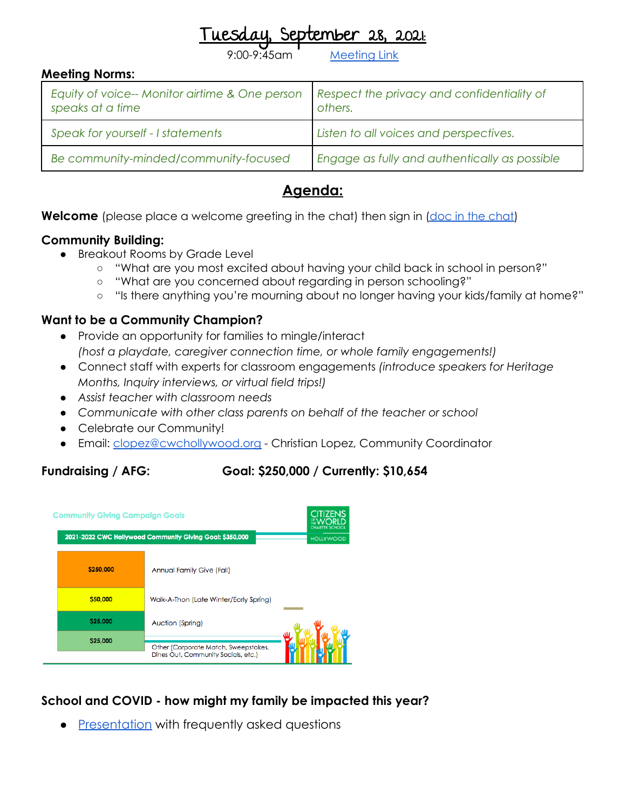September 28, 2021

Aeetina Link

#### **Meeting Norms:**

| Equity of voice-- Monitor airtime & One person<br>speaks at a time | Respect the privacy and confidentiality of<br>others. |
|--------------------------------------------------------------------|-------------------------------------------------------|
| Speak for yourself - I statements                                  | Listen to all voices and perspectives.                |
| Be community-minded/community-focused                              | Engage as fully and authentically as possible         |

## **Agenda:**

**Welcome** (please place a welcome greeting in the [chat\)](https://docs.google.com/document/d/1G5tV5v-j_RlyyIZYK21waQZqKIUWcZa1HKFSlpv2kPY/edit?usp=sharing) then sign in (doc in the chat)

## **Community Building:**

- Breakout Rooms by Grade Level
	- "What are you most excited about having your child back in school in person?"
	- "What are you concerned about regarding in person schooling?"
	- "Is there anything you're mourning about no longer having your kids/family at home?"

## **Want to be a Community Champion?**

- Provide an opportunity for families to mingle/interact *(host a playdate, caregiver connection time, or whole family engagements!)*
- Connect staff with experts for classroom engagements *(introduce speakers for Heritage Months, Inquiry interviews, or virtual field trips!)*
- *● Assist teacher with classroom needs*
- *● Communicate with other class parents on behalf of the teacher or school*
- Celebrate our Community!
- Email: [clopez@cwchollywood.org](mailto:clopez@cwchollywood.org) Christian Lopez, Community Coordinator

## **Fundraising / AFG: Goal: \$250,000 / Currently: \$10,654**

|           | <b>Community Giving Campaign Goals</b><br>2021-2022 CWC Hollywood Community Giving Goal: \$350,000 |  |  |
|-----------|----------------------------------------------------------------------------------------------------|--|--|
| \$250,000 | <b>Annual Family Give (Fall)</b>                                                                   |  |  |
| \$50,000  | Walk-A-Thon (Late Winter/Early Spring)                                                             |  |  |
| \$25,000  | <b>Auction (Spring)</b>                                                                            |  |  |
| \$25,000  | Other (Corporate Match, Sweepstakes,                                                               |  |  |
|           | Dines Out, Community Socials, etc.)                                                                |  |  |

## **School and COVID - how might my family be impacted this year?**

• [Presentation](https://docs.google.com/presentation/d/1wfiENjMR_wK9BxYAEW0OXBuHarmd9qZs2EbjWHpVdTY/edit?usp=sharing) with frequently asked questions